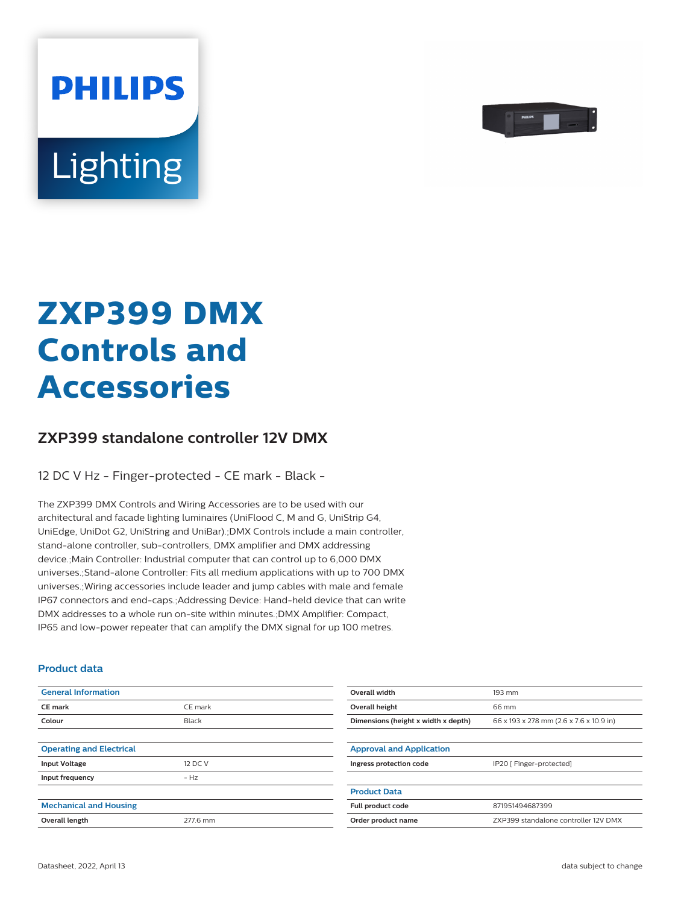

# Lighting

**PHILIPS** 

# **ZXP399 DMX Controls and Accessories**

## **ZXP399 standalone controller 12V DMX**

12 DC V Hz - Finger-protected - CE mark - Black -

The ZXP399 DMX Controls and Wiring Accessories are to be used with our architectural and facade lighting luminaires (UniFlood C, M and G, UniStrip G4, UniEdge, UniDot G2, UniString and UniBar).;DMX Controls include a main controller, stand-alone controller, sub-controllers, DMX amplifier and DMX addressing device.;Main Controller: Industrial computer that can control up to 6,000 DMX universes.;Stand-alone Controller: Fits all medium applications with up to 700 DMX universes.;Wiring accessories include leader and jump cables with male and female IP67 connectors and end-caps.;Addressing Device: Hand-held device that can write DMX addresses to a whole run on-site within minutes.;DMX Amplifier: Compact, IP65 and low-power repeater that can amplify the DMX signal for up 100 metres.

#### **Product data**

| <b>General Information</b>      |          | Overall width                       | 193 mm                                  |
|---------------------------------|----------|-------------------------------------|-----------------------------------------|
| CE mark                         | CE mark  | Overall height                      | 66 mm                                   |
| Colour                          | Black    | Dimensions (height x width x depth) | 66 x 193 x 278 mm (2.6 x 7.6 x 10.9 in) |
|                                 |          |                                     |                                         |
| <b>Operating and Electrical</b> |          | <b>Approval and Application</b>     |                                         |
| <b>Input Voltage</b>            | 12 DC V  | Ingress protection code             | IP20 [ Finger-protected]                |
| Input frequency                 | $- Hz$   |                                     |                                         |
|                                 |          | <b>Product Data</b>                 |                                         |
| <b>Mechanical and Housing</b>   |          | Full product code                   | 871951494687399                         |
| Overall length                  | 277.6 mm | Order product name                  | ZXP399 standalone controller 12V DMX    |
|                                 |          |                                     |                                         |